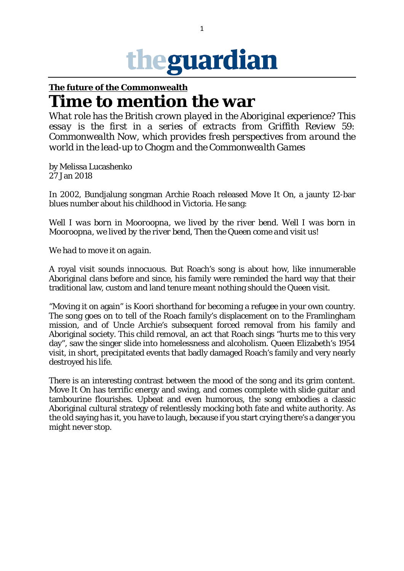## theguardian

## **[The future of the Commonwealth](https://www.theguardian.com/world/series/the-future-of-the-commonwealth) Time to mention the war**

*What role has the British crown played in the Aboriginal experience? This essay is the first in a series of extracts from Griffith Review 59: Commonwealth Now, which provides fresh perspectives from around the world in the lead-up to Chogm and the Commonwealth Games*

by [Melissa Lucashenko](https://www.theguardian.com/profile/melissa-lucashenko) 27 Jan 2018

In 2002, Bundjalung songman Archie Roach released Move It On, a jaunty 12-bar blues number about his childhood in Victoria. He sang:

*Well I was born in Mooroopna, we lived by the river bend. Well I was born in Mooroopna, we lived by the river bend, Then the Queen come and visit us!*

*We had to move it on again.*

A royal visit sounds innocuous. But Roach's song is about how, like innumerable Aboriginal clans before and since, his family were reminded the hard way that their traditional law, custom and land tenure meant nothing should the Queen visit.

"Moving it on again" is Koori shorthand for becoming a refugee in your own country. The song goes on to tell of the Roach family's displacement on to the Framlingham mission, and of Uncle Archie's subsequent forced removal from his family and Aboriginal society. This child removal, an act that Roach sings "hurts me to this very day", saw the singer slide into homelessness and alcoholism. Queen Elizabeth's 1954 visit, in short, precipitated events that badly damaged Roach's family and very nearly destroyed his life.

There is an interesting contrast between the mood of the song and its grim content. Move It On has terrific energy and swing, and comes complete with slide guitar and tambourine flourishes. Upbeat and even humorous, the song embodies a classic Aboriginal cultural strategy of relentlessly mocking both fate and white authority. As the old saying has it, you have to laugh, because if you start crying there's a danger you might never stop.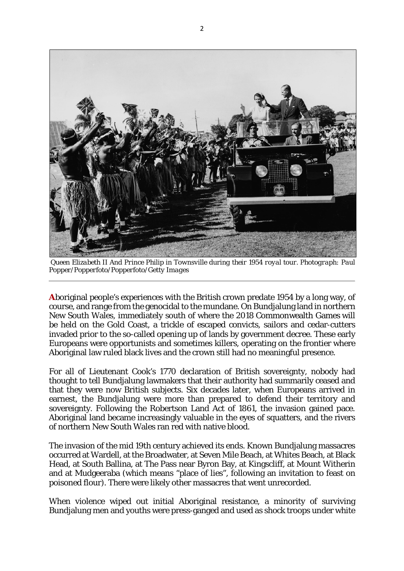

*Queen Elizabeth II And Prince Philip in Townsville during their 1954 royal tour. Photograph: Paul Popper/Popperfoto/Popperfoto/Getty Images*

**A**boriginal people's experiences with the British crown predate 1954 by a long way, of course, and range from the genocidal to the mundane. On Bundjalung land in northern New South Wales, immediately south of where the 2018 Commonwealth Games will be held on the Gold Coast, a trickle of escaped convicts, sailors and cedar-cutters invaded prior to the so-called opening up of lands by government decree. These early Europeans were opportunists and sometimes killers, operating on the frontier where Aboriginal law ruled black lives and the crown still had no meaningful presence.

For all of Lieutenant Cook's 1770 declaration of British sovereignty, nobody had thought to tell Bundjalung lawmakers that their authority had summarily ceased and that they were now British subjects. Six decades later, when Europeans arrived in earnest, the Bundjalung were more than prepared to defend their territory and sovereignty. Following the Robertson Land Act of 1861, the invasion gained pace. Aboriginal land became increasingly valuable in the eyes of squatters, and the rivers of northern New South Wales ran red with native blood.

The invasion of the mid 19th century achieved its ends. Known Bundjalung massacres occurred at Wardell, at the Broadwater, at Seven Mile Beach, at Whites Beach, at Black Head, at South Ballina, at The Pass near Byron Bay, at Kingscliff, at Mount Witherin and at Mudgeeraba (which means "place of lies", following an invitation to feast on poisoned flour). There were likely other massacres that went unrecorded.

When violence wiped out initial Aboriginal resistance, a minority of surviving Bundjalung men and youths were press-ganged and used as shock troops under white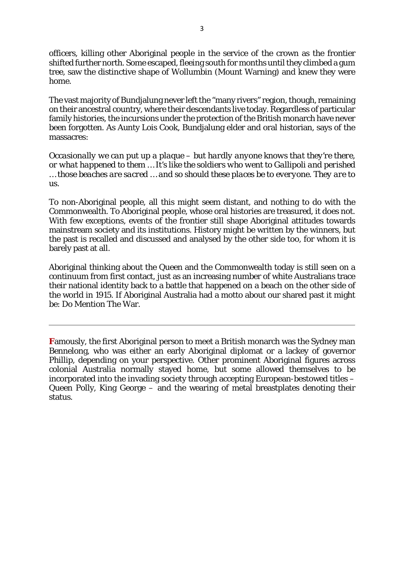officers, killing other Aboriginal people in the service of the crown as the frontier shifted further north. Some escaped, fleeing south for months until they climbed a gum tree, saw the distinctive shape of Wollumbin (Mount Warning) and knew they were home.

The vast majority of Bundjalung never left the "many rivers" region, though, remaining on their ancestral country, where their descendants live today. Regardless of particular family histories, the incursions under the protection of the British monarch have never been forgotten. As Aunty Lois Cook, Bundjalung elder and oral historian, says of the massacres:

*Occasionally we can put up a plaque – but hardly anyone knows that they're there, or what happened to them … It's like the soldiers who went to Gallipoli and perished … those beaches are sacred … and so should these places be to everyone. They are to us.*

To non-Aboriginal people, all this might seem distant, and nothing to do with the Commonwealth. To Aboriginal people, whose oral histories are treasured, it does not. With few exceptions, events of the frontier still shape Aboriginal attitudes towards mainstream society and its institutions. History might be written by the winners, but the past is recalled and discussed and analysed by the other side too, for whom it is barely past at all.

Aboriginal thinking about the Queen and the Commonwealth today is still seen on a continuum from first contact, just as an increasing number of white Australians trace their national identity back to a battle that happened on a beach on the other side of the world in 1915. If Aboriginal Australia had a motto about our shared past it might be: Do Mention The War.

**F**amously, the first Aboriginal person to meet a British monarch was the Sydney man Bennelong, who was either an early Aboriginal diplomat or a lackey of governor Phillip, depending on your perspective. Other prominent Aboriginal figures across colonial Australia normally stayed home, but some allowed themselves to be incorporated into the invading society through accepting European-bestowed titles – Queen Polly, King George – and the wearing of metal breastplates denoting their status.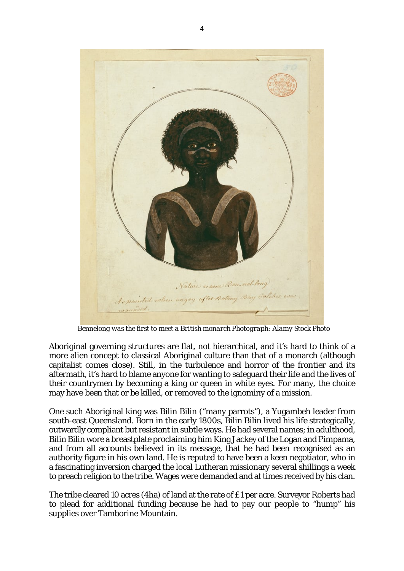

*Bennelong was the first to meet a British monarch Photograph: Alamy Stock Photo*

Aboriginal governing structures are flat, not hierarchical, and it's hard to think of a more alien concept to classical Aboriginal culture than that of a monarch (although capitalist comes close). Still, in the turbulence and horror of the frontier and its aftermath, it's hard to blame anyone for wanting to safeguard their life and the lives of their countrymen by becoming a king or queen in white eyes. For many, the choice may have been that or be killed, or removed to the ignominy of a mission.

One such Aboriginal king was Bilin Bilin ("many parrots"), a Yugambeh leader from south-east Queensland. Born in the early 1800s, Bilin Bilin lived his life strategically, outwardly compliant but resistant in subtle ways. He had several names; in adulthood, Bilin Bilin wore a breastplate proclaiming him King Jackey of the Logan and Pimpama, and from all accounts believed in its message, that he had been recognised as an authority figure in his own land. He is reputed to have been a keen negotiator, who in a fascinating inversion charged the local Lutheran missionary several shillings a week to preach religion to the tribe. Wages were demanded and at times received by his clan.

The tribe cleared 10 acres (4ha) of land at the rate of £1 per acre. Surveyor Roberts had to plead for additional funding because he had to pay our people to "hump" his supplies over Tamborine Mountain.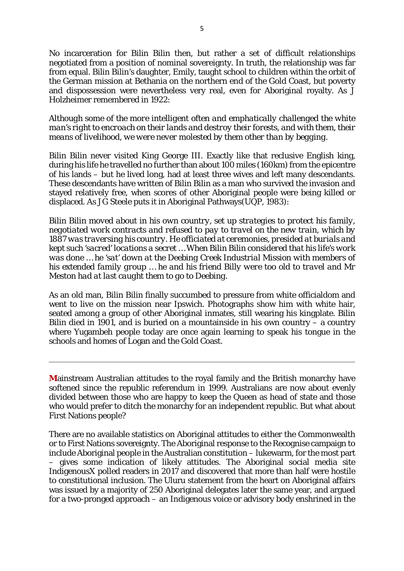No incarceration for Bilin Bilin then, but rather a set of difficult relationships negotiated from a position of nominal sovereignty. In truth, the relationship was far from equal. Bilin Bilin's daughter, Emily, taught school to children within the orbit of the German mission at Bethania on the northern end of the Gold Coast, but poverty and dispossession were nevertheless very real, even for Aboriginal royalty. As J Holzheimer remembered in 1922:

*Although some of the more intelligent often and emphatically challenged the white man's right to encroach on their lands and destroy their forests, and with them, their means of livelihood, we were never molested by them other than by begging.*

Bilin Bilin never visited King George III. Exactly like that reclusive English king, during his life he travelled no further than about 100 miles (160km) from the epicentre of his lands – but he lived long, had at least three wives and left many descendants. These descendants have written of Bilin Bilin as a man who survived the invasion and stayed relatively free, when scores of other Aboriginal people were being killed or displaced. As JG Steele puts it in Aboriginal Pathways(UQP, 1983):

*Bilin Bilin moved about in his own country, set up strategies to protect his family, negotiated work contracts and refused to pay to travel on the new train, which by 1887 was traversing his country. He officiated at ceremonies, presided at burials and kept such 'sacred' locations a secret … When Bilin Bilin considered that his life's work was done … he 'sat' down at the Deebing Creek Industrial Mission with members of his extended family group … he and his friend Billy were too old to travel and Mr Meston had at last caught them to go to Deebing.*

As an old man, Bilin Bilin finally succumbed to pressure from white officialdom and went to live on the mission near Ipswich. Photographs show him with white hair, seated among a group of other Aboriginal inmates, still wearing his kingplate. Bilin Bilin died in 1901, and is buried on a mountainside in his own country – a country where Yugambeh people today are once again learning to speak his tongue in the schools and homes of Logan and the Gold Coast.

**M**ainstream Australian attitudes to the royal family and the British monarchy have softened since the republic referendum in 1999. Australians are now about evenly divided between those who are happy to keep the Queen as head of state and those who would prefer to ditch the monarchy for an independent republic. But what about First Nations people?

There are no available statistics on Aboriginal attitudes to either the Commonwealth or to First Nations sovereignty. The Aboriginal response to the Recognise campaign to include Aboriginal people in the Australian constitution – lukewarm, for the most part – gives some indication of likely attitudes. The Aboriginal social media site IndigenousX polled readers in 2017 and discovered that more than half were hostile to constitutional inclusion. The Uluru statement from the heart on Aboriginal affairs was issued by a majority of 250 Aboriginal delegates later the same year, and argued for a two-pronged approach – an Indigenous voice or advisory body enshrined in the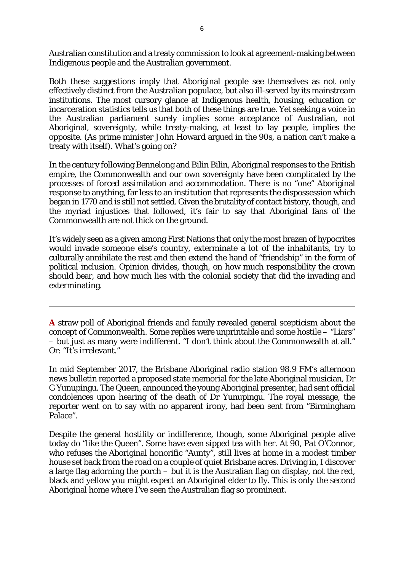Australian constitution and a treaty commission to look at agreement-making between Indigenous people and the Australian government.

Both these suggestions imply that Aboriginal people see themselves as not only effectively distinct from the Australian populace, but also ill-served by its mainstream institutions. The most cursory glance at Indigenous health, housing, education or incarceration statistics tells us that both of these things are true. Yet seeking a voice in the Australian parliament surely implies some acceptance of Australian, not Aboriginal, sovereignty, while treaty-making, at least to lay people, implies the opposite. (As prime minister John Howard argued in the 90s, a nation can't make a treaty with itself). What's going on?

In the century following Bennelong and Bilin Bilin, Aboriginal responses to the British empire, the Commonwealth and our own sovereignty have been complicated by the processes of forced assimilation and accommodation. There is no "one" Aboriginal response to anything, far less to an institution that represents the dispossession which began in 1770 and is still not settled. Given the brutality of contact history, though, and the myriad injustices that followed, it's fair to say that Aboriginal fans of the Commonwealth are not thick on the ground.

It's widely seen as a given among First Nations that only the most brazen of hypocrites would invade someone else's country, exterminate a lot of the inhabitants, try to culturally annihilate the rest and then extend the hand of "friendship" in the form of political inclusion. Opinion divides, though, on how much responsibility the crown should bear, and how much lies with the colonial society that did the invading and exterminating.

**A** straw poll of Aboriginal friends and family revealed general scepticism about the concept of Commonwealth. Some replies were unprintable and some hostile – "Liars" – but just as many were indifferent. "I don't think about the Commonwealth at all." Or: "It's irrelevant."

In mid September 2017, the Brisbane Aboriginal radio station 98.9 FM's afternoon news bulletin reported a proposed state memorial for the late Aboriginal musician, Dr G Yunupingu. The Queen, announced the young Aboriginal presenter, had sent official condolences upon hearing of the death of Dr Yunupingu. The royal message, the reporter went on to say with no apparent irony, had been sent from "Birmingham Palace".

Despite the general hostility or indifference, though, some Aboriginal people alive today do "like the Queen". Some have even sipped tea with her. At 90, Pat O'Connor, who refuses the Aboriginal honorific "Aunty", still lives at home in a modest timber house set back from the road on a couple of quiet Brisbane acres. Driving in, I discover a large flag adorning the porch – but it is the Australian flag on display, not the red, black and yellow you might expect an Aboriginal elder to fly. This is only the second Aboriginal home where I've seen the Australian flag so prominent.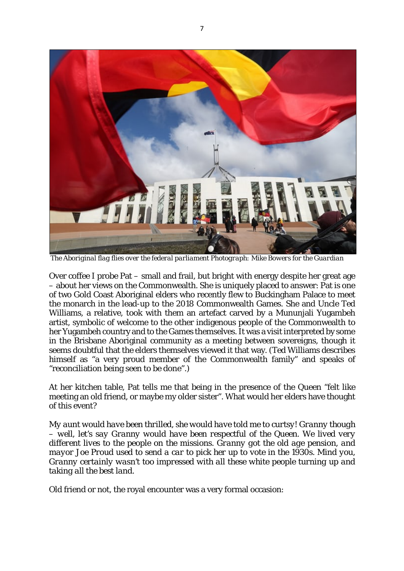

*The Aboriginal flag flies over the federal parliament Photograph: Mike Bowers for the Guardian*

Over coffee I probe Pat – small and frail, but bright with energy despite her great age – about her views on the Commonwealth. She is uniquely placed to answer: Pat is one of two Gold Coast Aboriginal elders who recently flew to Buckingham Palace to meet the monarch in the lead-up to the 2018 Commonwealth Games. She and Uncle Ted Williams, a relative, took with them an artefact carved by a Mununjali Yugambeh artist, symbolic of welcome to the other indigenous people of the Commonwealth to her Yugambeh country and to the Games themselves. It was a visit interpreted by some in the Brisbane Aboriginal community as a meeting between sovereigns, though it seems doubtful that the elders themselves viewed it that way. (Ted Williams describes himself as "a very proud member of the Commonwealth family" and speaks of "reconciliation being seen to be done".)

At her kitchen table, Pat tells me that being in the presence of the Queen "felt like meeting an old friend, or maybe my older sister". What would her elders have thought of this event?

*My aunt would have been thrilled, she would have told me to curtsy! Granny though – well, let's say Granny would have been respectful of the Queen. We lived very different lives to the people on the missions. Granny got the old age pension, and mayor Joe Proud used to send a car to pick her up to vote in the 1930s. Mind you, Granny certainly wasn't too impressed with all these white people turning up and taking all the best land.*

Old friend or not, the royal encounter was a very formal occasion: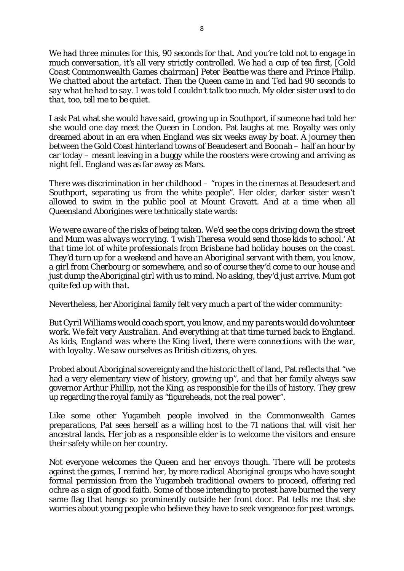*We had three minutes for this, 90 seconds for that. And you're told not to engage in much conversation, it's all very strictly controlled. We had a cup of tea first, [Gold Coast Commonwealth Games chairman] Peter Beattie was there and Prince Philip. We chatted about the artefact. Then the Queen came in and Ted had 90 seconds to say what he had to say. I was told I couldn't talk too much. My older sister used to do that, too, tell me to be quiet.*

I ask Pat what she would have said, growing up in Southport, if someone had told her she would one day meet the Queen in London. Pat laughs at me. Royalty was only dreamed about in an era when England was six weeks away by boat. A journey then between the Gold Coast hinterland towns of Beaudesert and Boonah – half an hour by car today – meant leaving in a buggy while the roosters were crowing and arriving as night fell. England was as far away as Mars.

There was discrimination in her childhood – "ropes in the cinemas at Beaudesert and Southport, separating us from the white people". Her older, darker sister wasn't allowed to swim in the public pool at Mount Gravatt. And at a time when all Queensland Aborigines were technically state wards:

*We were aware of the risks of being taken. We'd see the cops driving down the street and Mum was always worrying. 'I wish Theresa would send those kids to school.' At that time lot of white professionals from Brisbane had holiday houses on the coast. They'd turn up for a weekend and have an Aboriginal servant with them, you know, a girl from Cherbourg or somewhere, and so of course they'd come to our house and just dump the Aboriginal girl with us to mind. No asking, they'd just arrive. Mum got quite fed up with that.*

Nevertheless, her Aboriginal family felt very much a part of the wider community:

*But Cyril Williams would coach sport, you know, and my parents would do volunteer work. We felt very Australian. And everything at that time turned back to England. As kids, England was where the King lived, there were connections with the war, with loyalty. We saw ourselves as British citizens, oh yes.*

Probed about Aboriginal sovereignty and the historic theft of land, Pat reflects that "we had a very elementary view of history, growing up", and that her family always saw governor Arthur Phillip, not the King, as responsible for the ills of history. They grew up regarding the royal family as "figureheads, not the real power".

Like some other Yugambeh people involved in the Commonwealth Games preparations, Pat sees herself as a willing host to the 71 nations that will visit her ancestral lands. Her job as a responsible elder is to welcome the visitors and ensure their safety while on her country.

Not everyone welcomes the Queen and her envoys though. There will be protests against the games, I remind her, by more radical Aboriginal groups who have sought formal permission from the Yugambeh traditional owners to proceed, offering red ochre as a sign of good faith. Some of those intending to protest have burned the very same flag that hangs so prominently outside her front door. Pat tells me that she worries about young people who believe they have to seek vengeance for past wrongs.